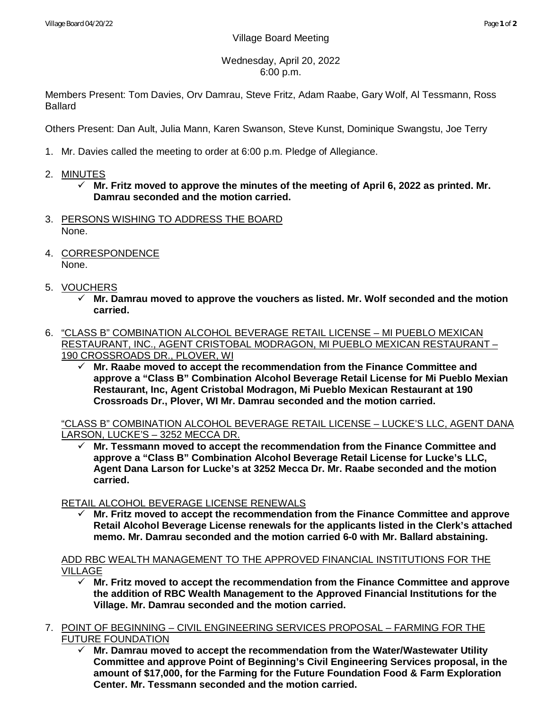Wednesday, April 20, 2022 6:00 p.m.

Members Present: Tom Davies, Orv Damrau, Steve Fritz, Adam Raabe, Gary Wolf, Al Tessmann, Ross Ballard

Others Present: Dan Ault, Julia Mann, Karen Swanson, Steve Kunst, Dominique Swangstu, Joe Terry

- 1. Mr. Davies called the meeting to order at 6:00 p.m. Pledge of Allegiance.
- 2. MINUTES
	- **Mr. Fritz moved to approve the minutes of the meeting of April 6, 2022 as printed. Mr. Damrau seconded and the motion carried.**
- 3. PERSONS WISHING TO ADDRESS THE BOARD None.
- 4. CORRESPONDENCE None.
- 5. VOUCHERS
	- **Mr. Damrau moved to approve the vouchers as listed. Mr. Wolf seconded and the motion carried.**
- 6. "CLASS B" COMBINATION ALCOHOL BEVERAGE RETAIL LICENSE MI PUEBLO MEXICAN RESTAURANT, INC., AGENT CRISTOBAL MODRAGON, MI PUEBLO MEXICAN RESTAURANT – 190 CROSSROADS DR., PLOVER, WI
	- **Mr. Raabe moved to accept the recommendation from the Finance Committee and approve a "Class B" Combination Alcohol Beverage Retail License for Mi Pueblo Mexian Restaurant, Inc, Agent Cristobal Modragon, Mi Pueblo Mexican Restaurant at 190 Crossroads Dr., Plover, WI Mr. Damrau seconded and the motion carried.**

"CLASS B" COMBINATION ALCOHOL BEVERAGE RETAIL LICENSE – LUCKE'S LLC, AGENT DANA LARSON, LUCKE'S – 3252 MECCA DR.

 **Mr. Tessmann moved to accept the recommendation from the Finance Committee and approve a "Class B" Combination Alcohol Beverage Retail License for Lucke's LLC, Agent Dana Larson for Lucke's at 3252 Mecca Dr. Mr. Raabe seconded and the motion carried.**

# RETAIL ALCOHOL BEVERAGE LICENSE RENEWALS

 **Mr. Fritz moved to accept the recommendation from the Finance Committee and approve Retail Alcohol Beverage License renewals for the applicants listed in the Clerk's attached memo. Mr. Damrau seconded and the motion carried 6-0 with Mr. Ballard abstaining.**

## ADD RBC WEALTH MANAGEMENT TO THE APPROVED FINANCIAL INSTITUTIONS FOR THE VILLAGE

- **Mr. Fritz moved to accept the recommendation from the Finance Committee and approve the addition of RBC Wealth Management to the Approved Financial Institutions for the Village. Mr. Damrau seconded and the motion carried.**
- 7. POINT OF BEGINNING CIVIL ENGINEERING SERVICES PROPOSAL FARMING FOR THE FUTURE FOUNDATION
	- **Mr. Damrau moved to accept the recommendation from the Water/Wastewater Utility Committee and approve Point of Beginning's Civil Engineering Services proposal, in the amount of \$17,000, for the Farming for the Future Foundation Food & Farm Exploration Center. Mr. Tessmann seconded and the motion carried.**